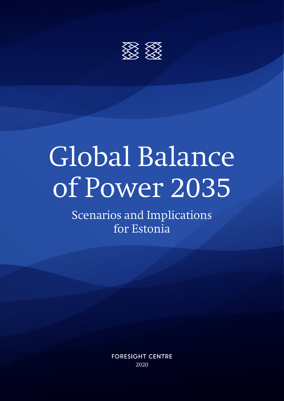

# Global Balance of Power 2035

Scenarios and Implications for Estonia

> **FORESIGHT CENTRE** 2020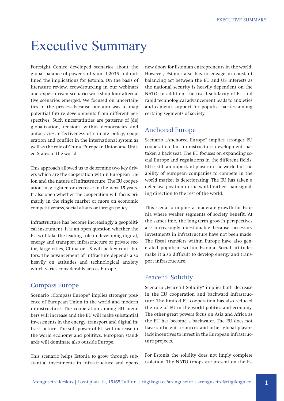## Executive Summary

Foresight Centre developed scenarios about the global balance of power shifts until 2035 and outlined the implications for Estonia. On the basis of literature review, crowdsourcing in our webinars and expert-driven scenario workshop four alternative scenarios emerged. We focused on uncertainties in the process because our aim was to map potential future developments from different perspectives. Such uncertatinties are patterns of (de) globalization, tensions within democracies and autocracies, effectiveness of climate policy, cooperation and conflict in the international system as well as the role of China, European Union and United States in the world.

This approach allowed us to determine two key drivers which are the cooperation within European Union and the nature of infrastructure. The EU cooperation may tighten or decrease in the next 15 years. It also open whether the cooperation will focus primarily in the single market or more on economic competitiveness, social affairs or foreign policy.

Infrastructure has become increasingly a geopolitical instrument. It is an open question whether the EU will take the leading role in developing digital, energy and transport infrastructure or private sector, large cities, China or US will be key contributors. The advancement of intfracture depends also heavily on attitudes and technological anxiety which varies considerably across Europe.

#### Compass Europe

Scenario "Compass Europe" implies stronger presence of European Union in the world and modern infrastructure. The cooperation among EU members will increase and the EU will make substantial investments in the energy, transport and digital infrastructure. The soft power of EU will increase in the world economy and polititcs. European standards will dominate also outside Europe.

This scenario helps Estonia to grow through substantial investments in infrastructure and opens new doors for Estonian entrepreneurs in the world. However, Estonia also has to engage in constant balancing act between the EU and US interests as the national security is heavily dependent on the NATO. In addition, the fiscal solidarity of EU and rapid technological advancement leads to anxieties and cements support for populist parties among certaing segments of society.

### Anchored Europe

Scenario "Anchored Europe" implies stronger EU cooperation but infrastructure development has taken a back seat. The EU focuses on expanding social Europe and regulations in the different fields. EU is still an important player in the world but the ability of European companies to compete in the world market is deteriorating. The EU has taken a defensive position in the world rather than signaling direction to the rest of the world.

This scenario implies a moderate growth for Estonia where weaker segments of society benefit. At the samet ime, the long-term growth perspectives are increasingly questionable because necessary investments in infrastructure have not been made. The fiscal transfers within Europe have also generated populism within Estonia. Social attitudes make it also difficult to develop energy and transport infrastructure.

### Peaceful Solidity

Scenario "Peaceful Solidity" implies both decrease in the EU cooperation and backward infrastructure. The limited EU cooperation has also reduced the role of EU in the world politics and economy. The other great powers focus on Asia and Africa as the EU has become a backwater. The EU does not have sufficient resources and other global players lack incentives to invest in the European infrastructure projects.

For Estonia the solidity does not imply complete isolation. The NATO troops are present on the Es-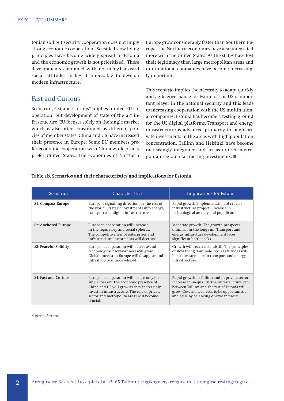tonian soil but security cooperation does not imply strong economic cooperation. So-called slow living principles have become widely spread in Estonia and the economic growth is not prioritized. These developments combined with not-in-my-backyard social attitudes makes it impossible to develop modern infrastructure.

### Fast and Curious

Scenario "Fast and Curious" implies limited EU cooperation, but development of state of the art infrastructure. EU focuses solely on the single market which is also often constrained by different policies of member states. China and US have increased their presence in Europe. Some EU members prefer economic cooperation with China while others prefer United States. The economies of Northern Europe grow considerably faster than Southern Europe. The Northern economies have also integrated more with the United States. As the states have lost their legitimacy then large metropolitan areas and multinational companies have become increasingly important.

This scenario implies the necessity to adapt quickly and agile governance for Estonia. The US is important player in the national security and this leads to increasing cooperation with the US multinational companies. Estonia has become a testing ground for the US digital platforms. Transport and energy infrastructure is advanced primarily through private investments in the areas with high population concentration. Tallinn and Helsinki have become increasingly integrated and act as unified metropolitan region in attracting investments.

| <b>Scenarios</b>                 | <b>Characteristics</b>                                                                                                                                                                                                                     | <b>Implications for Estonia</b>                                                                                                                                                                                                             |
|----------------------------------|--------------------------------------------------------------------------------------------------------------------------------------------------------------------------------------------------------------------------------------------|---------------------------------------------------------------------------------------------------------------------------------------------------------------------------------------------------------------------------------------------|
| <b>S1: Compass Europe</b>        | Europe is signalling direction for the rest of<br>the world. Strategic investments into energy,<br>transport and digital infrastructure.                                                                                                   | Rapid growth. Implementation of crucial<br>infrastructure projects. Increase in<br>technological anxiety and populism.                                                                                                                      |
| S <sub>2</sub> : Anchored Europe | European cooperation will increase<br>in the regulatory and social spheres.<br>The competitiveness of enterprises and<br>infrastructure investments will decrease.                                                                         | Moderate growth. The growth prospects<br>diminish in the long run. Transport and<br>energy infrascture development faces<br>significant bottlenecks.                                                                                        |
| S3: Peaceful Solidity            | European cooperation will decrease and<br>technological backwardness will grow.<br>Global interest in Europe will disappear and<br>infrastructre is undeveloped.                                                                           | Growth will reach a standstill. The principles<br>of slow living dominate. Social attitudes will<br>block investements in transport and energy<br>infrastructure.                                                                           |
| <b>S4: Fast and Curious</b>      | European cooperation will focuse only on<br>single market. The economic presence of<br>China and US will grow as they increasinly<br>invest in infrastructure. The role of private<br>sector and metropolita areas will become<br>crucial. | Rapid growth in Tallinn and in private sector.<br>Increase in inequality. The infrastructure gap<br>between Tallinn and the rest of Estonia will<br>grow. Governance needs to be opportunistic<br>and agile by balancing diverse interests. |

#### **Table 1b. Scenarios and their characteristics and implications for Estonia**

*Source: Author*